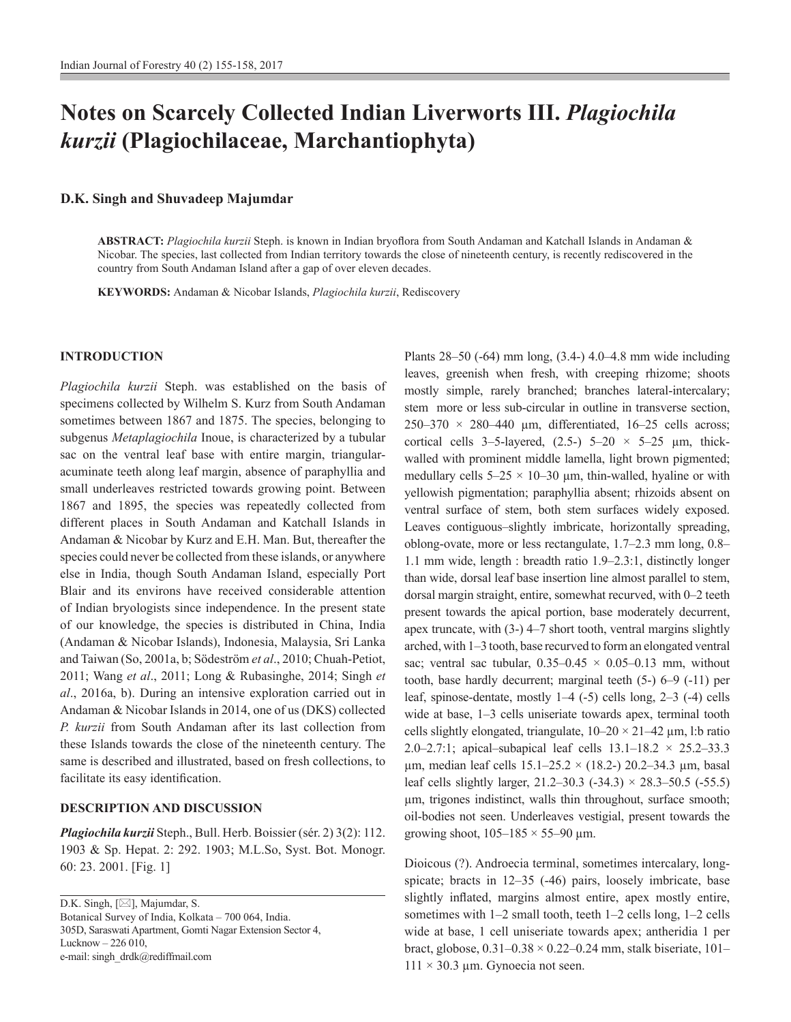# **Notes on Scarcely Collected Indian Liverworts III.** *Plagiochila kurzii* **(Plagiochilaceae, Marchantiophyta)**

## **D.K. Singh and Shuvadeep Majumdar**

**ABSTRACT:** *Plagiochila kurzii* Steph. is known in Indian bryoflora from South Andaman and Katchall Islands in Andaman & Nicobar. The species, last collected from Indian territory towards the close of nineteenth century, is recently rediscovered in the country from South Andaman Island after a gap of over eleven decades.

**KEYWORDS:** Andaman & Nicobar Islands, *Plagiochila kurzii*, Rediscovery

### **INTRODUCTION**

*Plagiochila kurzii* Steph. was established on the basis of specimens collected by Wilhelm S. Kurz from South Andaman sometimes between 1867 and 1875. The species, belonging to subgenus *Metaplagiochila* Inoue, is characterized by a tubular sac on the ventral leaf base with entire margin, triangularacuminate teeth along leaf margin, absence of paraphyllia and small underleaves restricted towards growing point. Between 1867 and 1895, the species was repeatedly collected from different places in South Andaman and Katchall Islands in Andaman & Nicobar by Kurz and E.H. Man. But, thereafter the species could never be collected from these islands, or anywhere else in India, though South Andaman Island, especially Port Blair and its environs have received considerable attention of Indian bryologists since independence. In the present state of our knowledge, the species is distributed in China, India (Andaman & Nicobar Islands), Indonesia, Malaysia, Sri Lanka and Taiwan (So, 2001a, b; Södeström *et al*., 2010; Chuah-Petiot, 2011; Wang *et al*., 2011; Long & Rubasinghe, 2014; Singh *et al*., 2016a, b). During an intensive exploration carried out in Andaman & Nicobar Islands in 2014, one of us (DKS) collected *P. kurzii* from South Andaman after its last collection from these Islands towards the close of the nineteenth century. The same is described and illustrated, based on fresh collections, to facilitate its easy identification.

## **DESCRIPTION AND DISCUSSION**

*Plagiochila kurzii* Steph., Bull. Herb. Boissier (sér. 2) 3(2): 112. 1903 & Sp. Hepat. 2: 292. 1903; M.L.So, Syst. Bot. Monogr. 60: 23. 2001. [Fig. 1]

D.K. Singh,  $[\boxtimes]$ , Majumdar, S. Botanical Survey of India, Kolkata – 700 064, India. 305D, Saraswati Apartment, Gomti Nagar Extension Sector 4, Lucknow – 226 010, e-mail: singh\_drdk@rediffmail.com

Plants 28–50 (-64) mm long, (3.4-) 4.0–4.8 mm wide including leaves, greenish when fresh, with creeping rhizome; shoots mostly simple, rarely branched; branches lateral-intercalary; stem more or less sub-circular in outline in transverse section,  $250-370 \times 280-440$  µm, differentiated, 16-25 cells across; cortical cells 3–5-layered,  $(2.5-)$  5–20  $\times$  5–25  $\mu$ m, thickwalled with prominent middle lamella, light brown pigmented; medullary cells  $5-25 \times 10-30$  µm, thin-walled, hyaline or with yellowish pigmentation; paraphyllia absent; rhizoids absent on ventral surface of stem, both stem surfaces widely exposed. Leaves contiguous–slightly imbricate, horizontally spreading, oblong-ovate, more or less rectangulate, 1.7–2.3 mm long, 0.8– 1.1 mm wide, length : breadth ratio 1.9–2.3:1, distinctly longer than wide, dorsal leaf base insertion line almost parallel to stem, dorsal margin straight, entire, somewhat recurved, with 0–2 teeth present towards the apical portion, base moderately decurrent, apex truncate, with (3-) 4–7 short tooth, ventral margins slightly arched, with 1–3 tooth, base recurved to form an elongated ventral sac; ventral sac tubular,  $0.35-0.45 \times 0.05-0.13$  mm, without tooth, base hardly decurrent; marginal teeth (5-) 6–9 (-11) per leaf, spinose-dentate, mostly 1–4 (-5) cells long, 2–3 (-4) cells wide at base, 1–3 cells uniseriate towards apex, terminal tooth cells slightly elongated, triangulate,  $10-20 \times 21-42 \mu m$ , l:b ratio 2.0–2.7:1; apical–subapical leaf cells  $13.1-18.2 \times 25.2-33.3$  $\mu$ m, median leaf cells 15.1–25.2 × (18.2-) 20.2–34.3  $\mu$ m, basal leaf cells slightly larger,  $21.2-30.3$  (-34.3)  $\times$  28.3-50.5 (-55.5) µm, trigones indistinct, walls thin throughout, surface smooth; oil-bodies not seen. Underleaves vestigial, present towards the growing shoot,  $105-185 \times 55-90 \mu m$ .

Dioicous (?). Androecia terminal, sometimes intercalary, longspicate; bracts in 12–35 (-46) pairs, loosely imbricate, base slightly inflated, margins almost entire, apex mostly entire, sometimes with 1–2 small tooth, teeth 1–2 cells long, 1–2 cells wide at base, 1 cell uniseriate towards apex; antheridia 1 per bract, globose,  $0.31-0.38 \times 0.22-0.24$  mm, stalk biseriate,  $101 111 \times 30.3$  µm. Gynoecia not seen.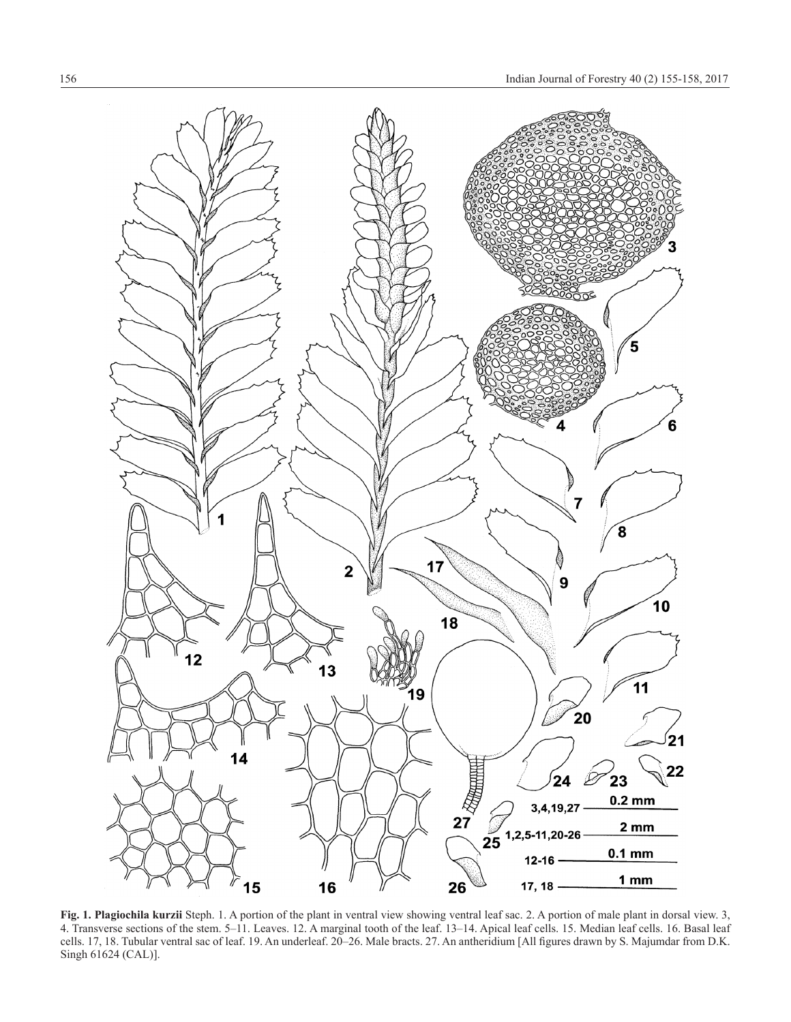

**Fig. 1. Plagiochila kurzii** Steph. 1. A portion of the plant in ventral view showing ventral leaf sac. 2. A portion of male plant in dorsal view. 3, 4. Transverse sections of the stem. 5–11. Leaves. 12. A marginal tooth of the leaf. 13–14. Apical leaf cells. 15. Median leaf cells. 16. Basal leaf cells. 17, 18. Tubular ventral sac of leaf. 19. An underleaf. 20–26. Male bracts. 27. An antheridium [All figures drawn by S. Majumdar from D.K. Singh 61624 (CAL)].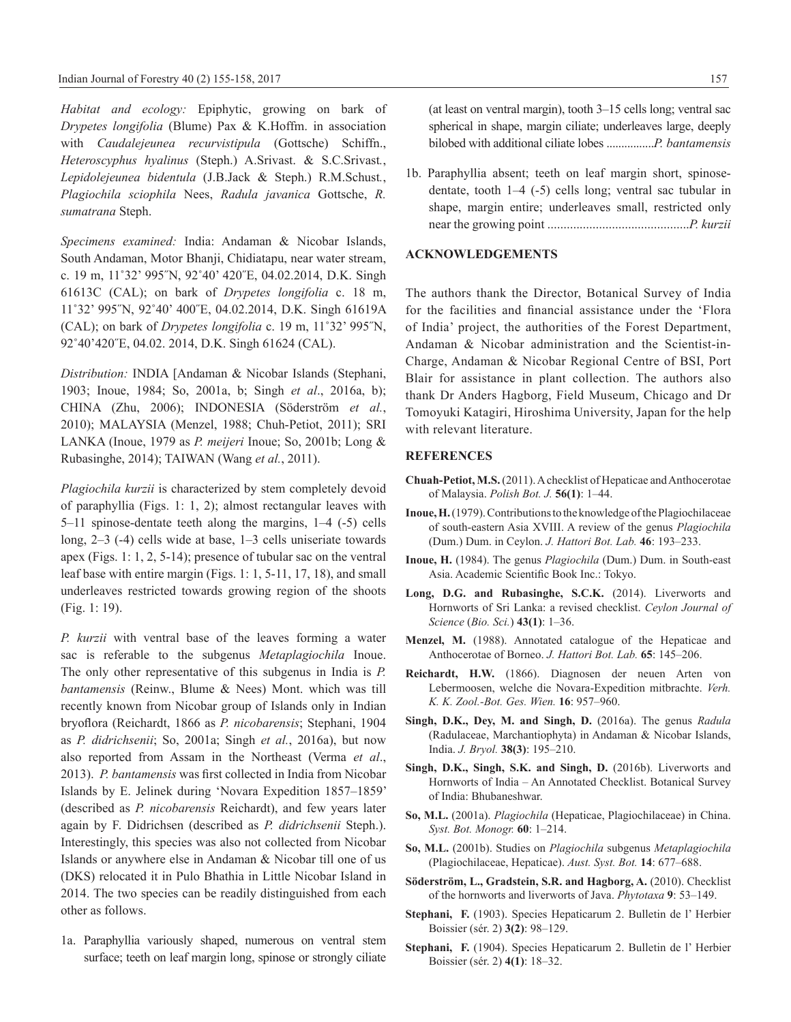*Habitat and ecology:* Epiphytic, growing on bark of *Drypetes longifolia* (Blume) Pax & K.Hoffm. in association with *Caudalejeunea recurvistipula* (Gottsche) Schiffn., *Heteroscyphus hyalinus* (Steph.) A.Srivast. & S.C.Srivast*.*, *Lepidolejeunea bidentula* (J.B.Jack & Steph.) R.M.Schust*.*, *Plagiochila sciophila* Nees, *Radula javanica* Gottsche, *R. sumatrana* Steph.

*Specimens examined:* India: Andaman & Nicobar Islands, South Andaman, Motor Bhanji, Chidiatapu, near water stream, c. 19 m, 11˚32' 995˝N, 92˚40' 420˝E, 04.02.2014, D.K. Singh 61613C (CAL); on bark of *Drypetes longifolia* c. 18 m, 11˚32' 995˝N, 92˚40' 400˝E, 04.02.2014, D.K. Singh 61619A (CAL); on bark of *Drypetes longifolia* c. 19 m, 11˚32' 995˝N, 92˚40'420˝E, 04.02. 2014, D.K. Singh 61624 (CAL).

*Distribution:* INDIA [Andaman & Nicobar Islands (Stephani, 1903; Inoue, 1984; So, 2001a, b; Singh *et al*., 2016a, b); CHINA (Zhu, 2006); INDONESIA (Söderström *et al.*, 2010); MALAYSIA (Menzel, 1988; Chuh-Petiot, 2011); SRI LANKA (Inoue, 1979 as *P. meijeri* Inoue; So, 2001b; Long & Rubasinghe, 2014); TAIWAN (Wang *et al.*, 2011).

*Plagiochila kurzii* is characterized by stem completely devoid of paraphyllia (Figs. 1: 1, 2); almost rectangular leaves with 5–11 spinose-dentate teeth along the margins, 1–4 (-5) cells long, 2–3 (-4) cells wide at base, 1–3 cells uniseriate towards apex (Figs. 1: 1, 2, 5-14); presence of tubular sac on the ventral leaf base with entire margin (Figs. 1: 1, 5-11, 17, 18), and small underleaves restricted towards growing region of the shoots (Fig. 1: 19).

*P. kurzii* with ventral base of the leaves forming a water sac is referable to the subgenus *Metaplagiochila* Inoue. The only other representative of this subgenus in India is *P. bantamensis* (Reinw., Blume & Nees) Mont. which was till recently known from Nicobar group of Islands only in Indian bryoflora (Reichardt, 1866 as *P. nicobarensis*; Stephani, 1904 as *P. didrichsenii*; So, 2001a; Singh *et al.*, 2016a), but now also reported from Assam in the Northeast (Verma *et al*., 2013). *P. bantamensis* was first collected in India from Nicobar Islands by E. Jelinek during 'Novara Expedition 1857–1859' (described as *P. nicobarensis* Reichardt), and few years later again by F. Didrichsen (described as *P. didrichsenii* Steph.). Interestingly, this species was also not collected from Nicobar Islands or anywhere else in Andaman & Nicobar till one of us (DKS) relocated it in Pulo Bhathia in Little Nicobar Island in 2014. The two species can be readily distinguished from each other as follows.

1a. Paraphyllia variously shaped, numerous on ventral stem surface; teeth on leaf margin long, spinose or strongly ciliate (at least on ventral margin), tooth 3–15 cells long; ventral sac spherical in shape, margin ciliate; underleaves large, deeply bilobed with additional ciliate lobes ................*P. bantamensis*

1b. Paraphyllia absent; teeth on leaf margin short, spinosedentate, tooth 1–4 (-5) cells long; ventral sac tubular in shape, margin entire; underleaves small, restricted only near the growing point ............................................*P. kurzii*

### **ACKNOWLEDGEMENTS**

The authors thank the Director, Botanical Survey of India for the facilities and financial assistance under the 'Flora of India' project, the authorities of the Forest Department, Andaman & Nicobar administration and the Scientist-in-Charge, Andaman & Nicobar Regional Centre of BSI, Port Blair for assistance in plant collection. The authors also thank Dr Anders Hagborg, Field Museum, Chicago and Dr Tomoyuki Katagiri, Hiroshima University, Japan for the help with relevant literature.

#### **REFERENCES**

- **Chuah-Petiot, M.S.** (2011). A checklist of Hepaticae and Anthocerotae of Malaysia. *Polish Bot. J.* **56(1)**: 1–44.
- **Inoue, H.** (1979). Contributions to the knowledge of the Plagiochilaceae of south-eastern Asia XVIII. A review of the genus *Plagiochila*  (Dum.) Dum. in Ceylon. *J. Hattori Bot. Lab.* **46**: 193–233.
- **Inoue, H.** (1984). The genus *Plagiochila* (Dum.) Dum. in South-east Asia. Academic Scientific Book Inc.: Tokyo.
- **Long, D.G. and Rubasinghe, S.C.K.** (2014). Liverworts and Hornworts of Sri Lanka: a revised checklist. *Ceylon Journal of Science* (*Bio. Sci.*) **43(1)**: 1–36.
- **Menzel, M.** (1988). Annotated catalogue of the Hepaticae and Anthocerotae of Borneo. *J. Hattori Bot. Lab.* **65**: 145–206.
- **Reichardt, H.W.** (1866). Diagnosen der neuen Arten von Lebermoosen, welche die Novara-Expedition mitbrachte. *Verh. K. K. Zool.-Bot. Ges. Wien.* **16**: 957–960.
- **Singh, D.K., Dey, M. and Singh, D.** (2016a). The genus *Radula* (Radulaceae, Marchantiophyta) in Andaman & Nicobar Islands, India. *J. Bryol.* **38(3)**: 195–210.
- Singh, D.K., Singh, S.K. and Singh, D. (2016b). Liverworts and Hornworts of India – An Annotated Checklist. Botanical Survey of India: Bhubaneshwar.
- **So, M.L.** (2001a). *Plagiochila* (Hepaticae, Plagiochilaceae) in China. *Syst. Bot. Monogr.* **60**: 1–214.
- **So, M.L.** (2001b). Studies on *Plagiochila* subgenus *Metaplagiochila*  (Plagiochilaceae, Hepaticae). *Aust. Syst. Bot.* **14**: 677–688.
- **Söderström, L., Gradstein, S.R. and Hagborg, A.** (2010). Checklist of the hornworts and liverworts of Java. *Phytotaxa* **9**: 53–149.
- **Stephani, F.** (1903). Species Hepaticarum 2. Bulletin de l' Herbier Boissier (sér. 2) **3(2)**: 98–129.
- **Stephani, F.** (1904). Species Hepaticarum 2. Bulletin de l' Herbier Boissier (sér. 2) **4(1)**: 18–32.